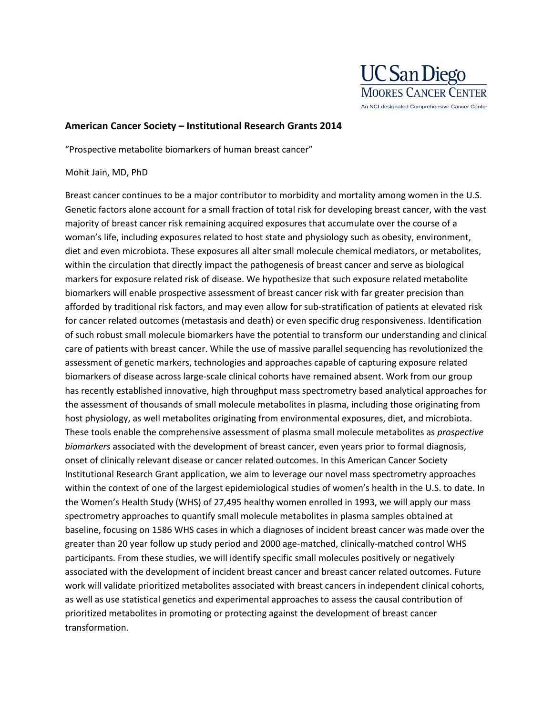

## **American Cancer Society – Institutional Research Grants 2014**

"Prospective metabolite biomarkers of human breast cancer"

## Mohit Jain, MD, PhD

Breast cancer continues to be a major contributor to morbidity and mortality among women in the U.S. Genetic factors alone account for a small fraction of total risk for developing breast cancer, with the vast majority of breast cancer risk remaining acquired exposures that accumulate over the course of a woman's life, including exposures related to host state and physiology such as obesity, environment, diet and even microbiota. These exposures all alter small molecule chemical mediators, or metabolites, within the circulation that directly impact the pathogenesis of breast cancer and serve as biological markers for exposure related risk of disease. We hypothesize that such exposure related metabolite biomarkers will enable prospective assessment of breast cancer risk with far greater precision than afforded by traditional risk factors, and may even allow for sub-stratification of patients at elevated risk for cancer related outcomes (metastasis and death) or even specific drug responsiveness. Identification of such robust small molecule biomarkers have the potential to transform our understanding and clinical care of patients with breast cancer. While the use of massive parallel sequencing has revolutionized the assessment of genetic markers, technologies and approaches capable of capturing exposure related biomarkers of disease across large-scale clinical cohorts have remained absent. Work from our group has recently established innovative, high throughput mass spectrometry based analytical approaches for the assessment of thousands of small molecule metabolites in plasma, including those originating from host physiology, as well metabolites originating from environmental exposures, diet, and microbiota. These tools enable the comprehensive assessment of plasma small molecule metabolites as *prospective biomarkers* associated with the development of breast cancer, even years prior to formal diagnosis, onset of clinically relevant disease or cancer related outcomes. In this American Cancer Society Institutional Research Grant application, we aim to leverage our novel mass spectrometry approaches within the context of one of the largest epidemiological studies of women's health in the U.S. to date. In the Women's Health Study (WHS) of 27,495 healthy women enrolled in 1993, we will apply our mass spectrometry approaches to quantify small molecule metabolites in plasma samples obtained at baseline, focusing on 1586 WHS cases in which a diagnoses of incident breast cancer was made over the greater than 20 year follow up study period and 2000 age-matched, clinically-matched control WHS participants. From these studies, we will identify specific small molecules positively or negatively associated with the development of incident breast cancer and breast cancer related outcomes. Future work will validate prioritized metabolites associated with breast cancers in independent clinical cohorts, as well as use statistical genetics and experimental approaches to assess the causal contribution of prioritized metabolites in promoting or protecting against the development of breast cancer transformation.